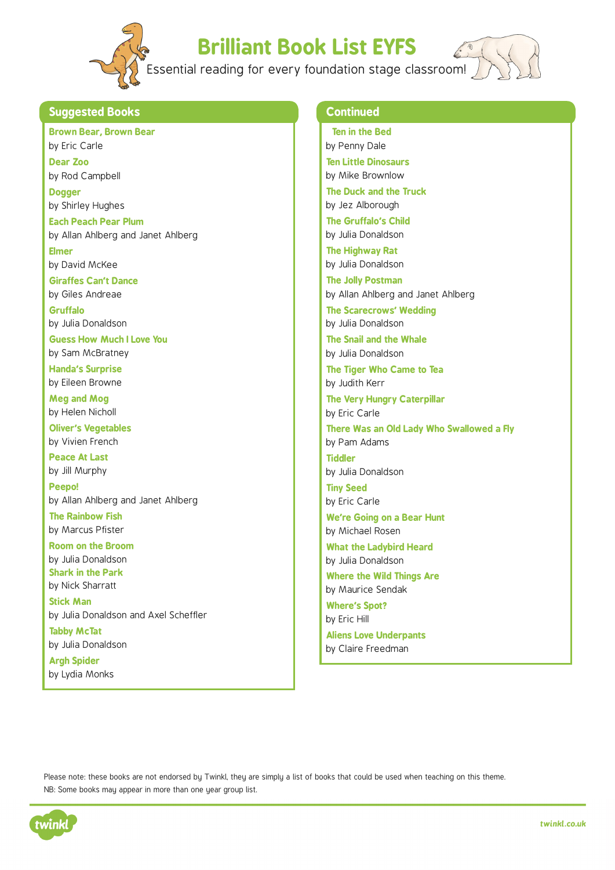

## **Brilliant Book List EYFS**

Essential reading for every foundation stage classroom!



## **Suggested Books**

**Brown Bear, Brown Bear**  by Eric Carle

**Dear Zoo**  by Rod Campbell

**Dogger**  by Shirley Hughes

**Each Peach Pear Plum**  by Allan Ahlberg and Janet Ahlberg

**Elmer**  by David McKee

**Giraffes Can't Dance**  by Giles Andreae

**Gruffalo**  by Julia Donaldson

**Guess How Much I Love You**  by Sam McBratney

**Handa's Surprise**  by Eileen Browne

**Meg and Mog** by Helen Nicholl

**Oliver's Vegetables**  by Vivien French

**Peace At Last**  by Jill Murphy

**Peepo!**  by Allan Ahlberg and Janet Ahlberg

**The Rainbow Fish**  by Marcus Pfister

**Room on the Broom**  by Julia Donaldson **Shark in the Park**  by Nick Sharratt

**Stick Man**  by Julia Donaldson and Axel Scheffler

**Tabby McTat**  by Julia Donaldson **Argh Spider** 

by Lydia Monks

## **Continued**

 **Ten in the Bed**  by Penny Dale **Ten Little Dinosaurs**  by Mike Brownlow **The Duck and the Truck**  by Jez Alborough **The Gruffalo's Child**  by Julia Donaldson **The Highway Rat**  by Julia Donaldson **The Jolly Postman**  by Allan Ahlberg and Janet Ahlberg **The Scarecrows' Wedding**  by Julia Donaldson **The Snail and the Whale**  by Julia Donaldson **The Tiger Who Came to Tea**  by Judith Kerr **The Very Hungry Caterpillar**  by Eric Carle **There Was an Old Lady Who Swallowed a Fly**  by Pam Adams **Tiddler**  by Julia Donaldson **Tiny Seed**  by Eric Carle **We're Going on a Bear Hunt** by Michael Rosen **What the Ladybird Heard**  by Julia Donaldson **Where the Wild Things Are**  by Maurice Sendak **Where's Spot?** by Eric Hill **Aliens Love Underpants**  by Claire Freedman

Please note: these books are not endorsed by Twinkl, they are simply a list of books that could be used when teaching on this theme. NB: Some books may appear in more than one year group list.